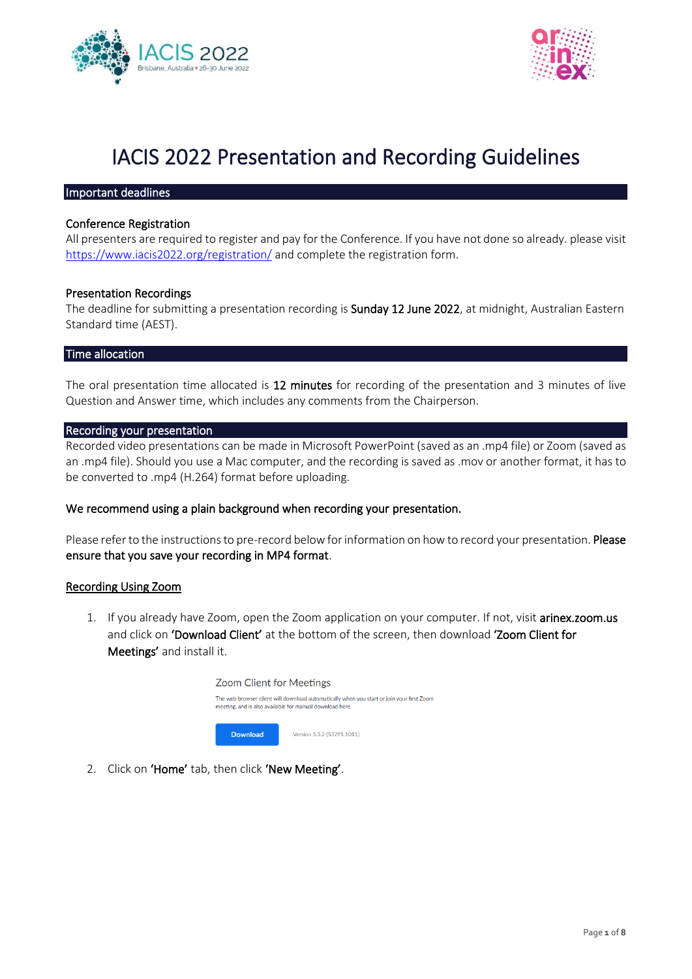



# IACIS 2022 Presentation and Recording Guidelines

#### Important deadlines

## Conference Registration

All presenters are required to register and pay for the Conference. If you have not done so already. please visit <https://www.iacis2022.org/registration/> and complete the registration form.

## Presentation Recordings

The deadline for submitting a presentation recording is **Sunday 12 June 2022**, at midnight, Australian Eastern Standard time (AEST).

### Time allocation

The oral presentation time allocated is 12 minutes for recording of the presentation and 3 minutes of live Question and Answer time, which includes any comments from the Chairperson.

#### Recording your presentation

Recorded video presentations can be made in Microsoft PowerPoint (saved as an .mp4 file) or Zoom (saved as an .mp4 file). Should you use a Mac computer, and the recording is saved as .mov or another format, it has to be converted to .mp4 (H.264) format before uploading.

# We recommend using a plain background when recording your presentation.

Please refer to the instructions to pre-record below for information on how to record your presentation. Please ensure that you save your recording in MP4 format.

#### Recording Using Zoom

1. If you already have Zoom, open the Zoom application on your computer. If not, visit arinex.zoom.us and click on 'Download Client' at the bottom of the screen, then download 'Zoom Client for Meetings' and install it.



2. Click on 'Home' tab, then click 'New Meeting'.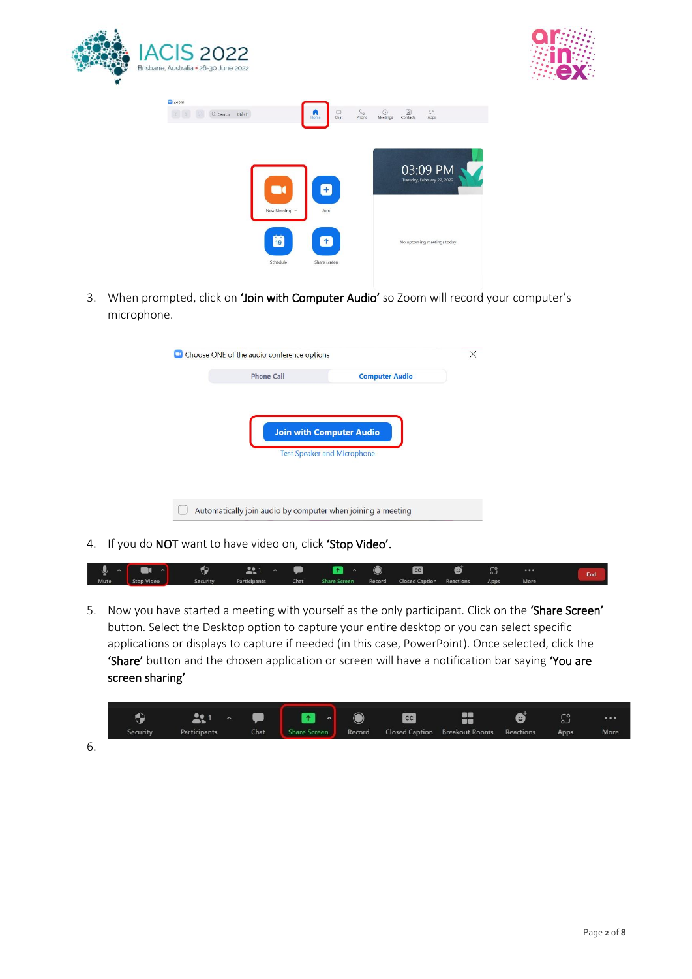





3. When prompted, click on 'Join with Computer Audio' so Zoom will record your computer's microphone.

| <b>Phone Call</b> | <b>Computer Audio</b>                                                 |  |
|-------------------|-----------------------------------------------------------------------|--|
|                   | <b>Join with Computer Audio</b><br><b>Test Speaker and Microphone</b> |  |
|                   |                                                                       |  |

4. If you do NOT want to have video on, click 'Stop Video'.

| ∣्∮<br>$\sim$ |            | e               |              |      | $\sim$              |        | cc                              | € | $\circ$ $\circ$ |      | End |
|---------------|------------|-----------------|--------------|------|---------------------|--------|---------------------------------|---|-----------------|------|-----|
| Mute          | Stop Video | <b>Security</b> | Participants | Chat | <b>Share Screen</b> | Record | <b>Closed Caption Reactions</b> |   | Apps            | More |     |

5. Now you have started a meeting with yourself as the only participant. Click on the 'Share Screen' button. Select the Desktop option to capture your entire desktop or you can select specific applications or displays to capture if needed (in this case, PowerPoint). Once selected, click the 'Share' button and the chosen application or screen will have a notification bar saying 'You are screen sharing'



6.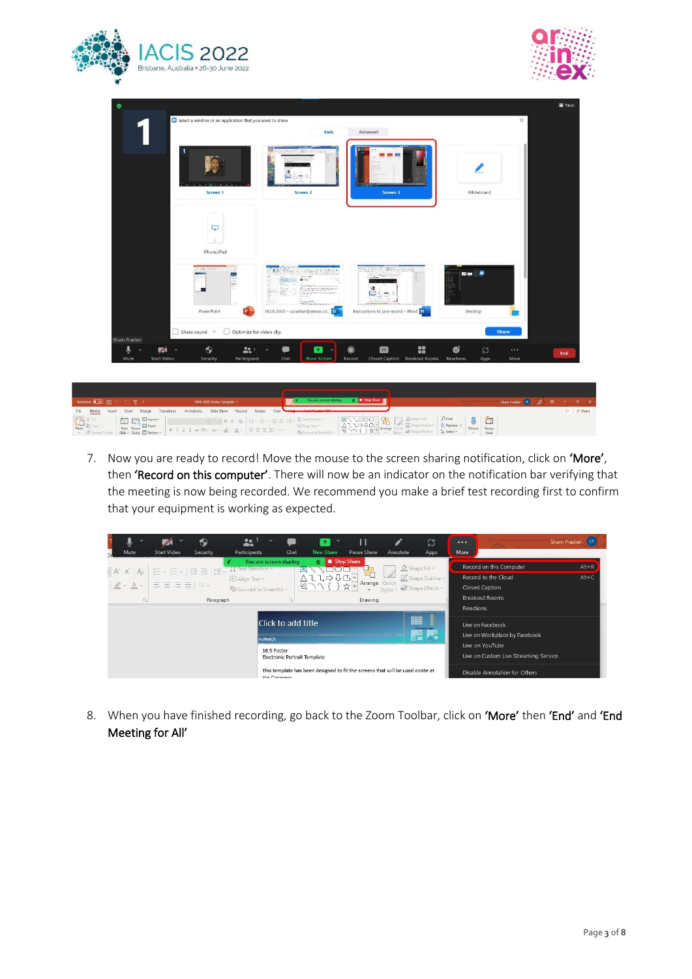



| ۰                                                                                                                  |                                                          |                                                                                                                                                                                                     |                                         |                           | <b>W</b> View |
|--------------------------------------------------------------------------------------------------------------------|----------------------------------------------------------|-----------------------------------------------------------------------------------------------------------------------------------------------------------------------------------------------------|-----------------------------------------|---------------------------|---------------|
|                                                                                                                    | Select a window or an application that you want to share |                                                                                                                                                                                                     |                                         | $\times$                  |               |
|                                                                                                                    |                                                          | Basic                                                                                                                                                                                               | Advanced                                |                           |               |
|                                                                                                                    | Screen 1                                                 | E<br>Screen <sub>2</sub>                                                                                                                                                                            | <b>CONTRACTOR</b><br>Screen 3           | Whiteboard                |               |
|                                                                                                                    | ÷                                                        |                                                                                                                                                                                                     |                                         |                           |               |
|                                                                                                                    | L.                                                       |                                                                                                                                                                                                     |                                         |                           |               |
|                                                                                                                    | 32.                                                      |                                                                                                                                                                                                     |                                         |                           |               |
|                                                                                                                    | iPhone/iPad                                              |                                                                                                                                                                                                     |                                         |                           |               |
|                                                                                                                    |                                                          |                                                                                                                                                                                                     |                                         |                           |               |
| 777                                                                                                                | 127                                                      | <b>O</b> Mart Hersity<br>÷<br>$\begin{array}{l} \displaystyle \frac{500\,m}{100\,m} = 0 \\ \displaystyle \frac{500\,m}{100\,m} = 0 \end{array}$<br>inanan<br>Kabupaten Kabupaten<br>a.<br>à.<br>AS. | 2004年 国際の外国連結                           | 50.8                      |               |
| PowerPoint                                                                                                         | P.                                                       | <b>RANGER HAMMER CONTROL</b><br>TASA 2022 - sprasher@arinex.co 0                                                                                                                                    | Instructions to pre-record - Word W     | Desktop                   |               |
| $\Box$ Share sound $\sim$                                                                                          | $\bigcirc$ Optimize for video clip                       |                                                                                                                                                                                                     |                                         | <b>Share</b>              |               |
| <b>Sham Prasher</b><br>$\hat{\bullet}$<br>$\bullet$<br>$\mathscr{A}$<br>$\hat{\phantom{a}}$<br>$\hat{\phantom{a}}$ | 221<br>$\hat{\phantom{a}}$                               | $\left  \cdot \right $<br>æ<br>$\lambda$                                                                                                                                                            | ÷<br> cc <br>$\bigcirc$                 | ේ<br>£3<br>               |               |
| Start Video<br>Mute<br>Security                                                                                    | Participants                                             | Chat<br><b>Share Screen</b>                                                                                                                                                                         | Closed Caption Breakout Rooms<br>Record | Reactions<br>Apps<br>More | End           |
|                                                                                                                    |                                                          |                                                                                                                                                                                                     |                                         |                           |               |

| AutoSave (6 OF) 图 9 - ① 甲 =<br>ISME-2022-Poster-Template                               | Sham Prasher SP 2 ED - D X |
|----------------------------------------------------------------------------------------|----------------------------|
| File Home Insert Draw Design Transitions Animations Slide Show Record Review View View | $\Box$ $\triangle$ Share   |

7. Now you are ready to record! Move the mouse to the screen sharing notification, click on 'More', then 'Record on this computer'. There will now be an indicator on the notification bar verifying that the meeting is now being recorded. We recommend you make a brief test recording first to confirm that your equipment is working as expected.



8. When you have finished recording, go back to the Zoom Toolbar, click on 'More' then 'End' and 'End Meeting for All'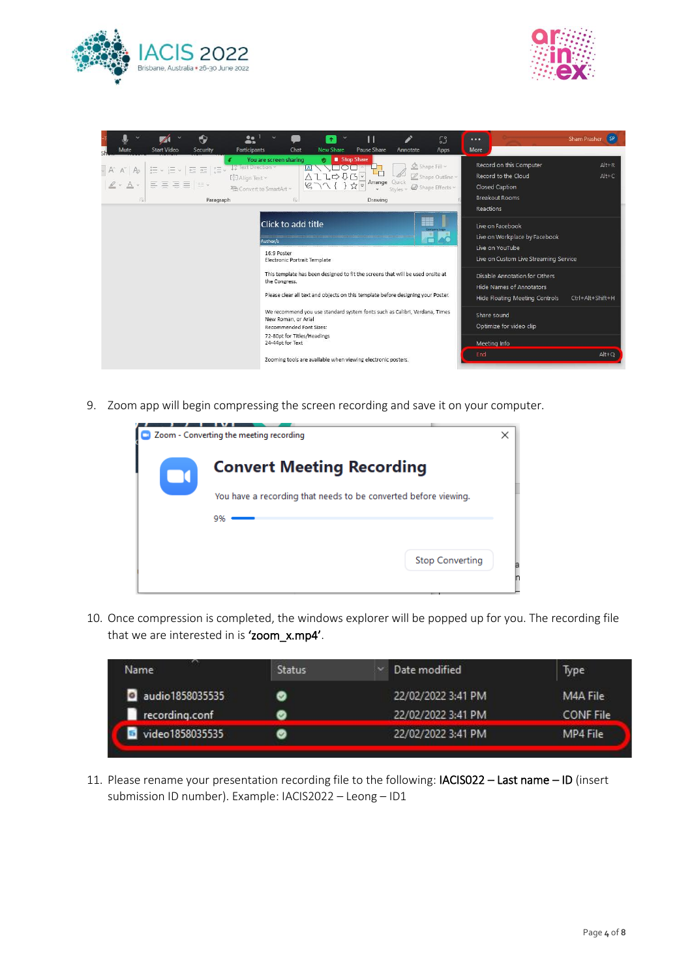



| ♦<br>22<br><b>Start Video</b><br><b>Participants</b><br><b>Mute</b><br>Security                                                                                                                                      | $\hat{\mathbf{T}}$<br><b>New Share</b><br>Pause Share<br>Chat<br>Annotate                                                                                                                       | $ $ SP<br>53<br>Sham Prasher<br>$\bullet\bullet\bullet$<br>More<br>Apps                                                                                                   |
|----------------------------------------------------------------------------------------------------------------------------------------------------------------------------------------------------------------------|-------------------------------------------------------------------------------------------------------------------------------------------------------------------------------------------------|---------------------------------------------------------------------------------------------------------------------------------------------------------------------------|
| LC lext Direction<br>信 → 旧 → 「理 理 】理 →<br>$-$ A $A^{\sim}$ A <sub>2</sub><br>$E_{\text{II}}$ Align Text $\sim$<br>$ \mathbb{Z} \cdot \mathbb{A} \cdot  \equiv \equiv \equiv  \equiv $<br>$\overline{u}$<br>Paragraph | Stop Share<br>You are screen sharing<br>ø.<br>TO O<br>$\triangle$ ll $\Rightarrow$ UG-<br>Arrange Quick<br><sup>2</sup> Convert to SmartArt ~<br>Styles ~<br>Drawing<br>$\overline{\mathbb{N}}$ | Record on this Computer<br>$Alt + R$<br>Shape Fill ~<br>Record to the Cloud<br>$Alt + C$<br>Shape Outline ~<br>Closed Caption<br>Shape Effects v<br><b>Breakout Rooms</b> |
|                                                                                                                                                                                                                      | Click to add title<br>Author/s<br>16:9 Poster<br>Electronic Portrait Template                                                                                                                   | Reactions<br>▓▓<br>Live on Facebook<br><b>Company Lope</b><br>Live on Workplace by Facebook<br>Live on YouTube<br>Live on Custom Live Streaming Service                   |
|                                                                                                                                                                                                                      | This template has been designed to fit the screens that will be used onsite at<br>the Congress.<br>Please clear all text and objects on this template before designing your Poster.             | Disable Annotation for Others<br><b>Hide Names of Annotators</b><br>Hide Floating Meeting Controls<br>Ctrl+Alt+Shift+H                                                    |
|                                                                                                                                                                                                                      | We recommend you use standard system fonts such as Calibri, Verdana, Times<br>New Roman, or Arial<br>Recommended Font Sizes:<br>72-80pt for Titles/Headings<br>24-44pt for Text                 | Share sound<br>Optimize for video clip<br>Meeting Info                                                                                                                    |
|                                                                                                                                                                                                                      | Zooming tools are available when viewing electronic posters.                                                                                                                                    | $Alt + Q$<br>End                                                                                                                                                          |

9. Zoom app will begin compressing the screen recording and save it on your computer.

| Zoom - Converting the meeting recording                         | × |   |
|-----------------------------------------------------------------|---|---|
| <b>Convert Meeting Recording</b>                                |   |   |
| You have a recording that needs to be converted before viewing. |   |   |
| 9%                                                              |   |   |
| <b>Stop Converting</b>                                          |   | a |

10. Once compression is completed, the windows explorer will be popped up for you. The recording file that we are interested in is 'zoom\_x.mp4'.

| $\sim$<br>Name  | <b>Status</b> | Date modified      | Type             |
|-----------------|---------------|--------------------|------------------|
| audio1858035535 | Ø             | 22/02/2022 3:41 PM | M4A File         |
| recording.conf  |               | 22/02/2022 3:41 PM | <b>CONF</b> File |
| video1858035535 |               | 22/02/2022 3:41 PM | MP4 File         |

11. Please rename your presentation recording file to the following: IACIS022 – Last name – ID (insert submission ID number). Example: IACIS2022 – Leong – ID1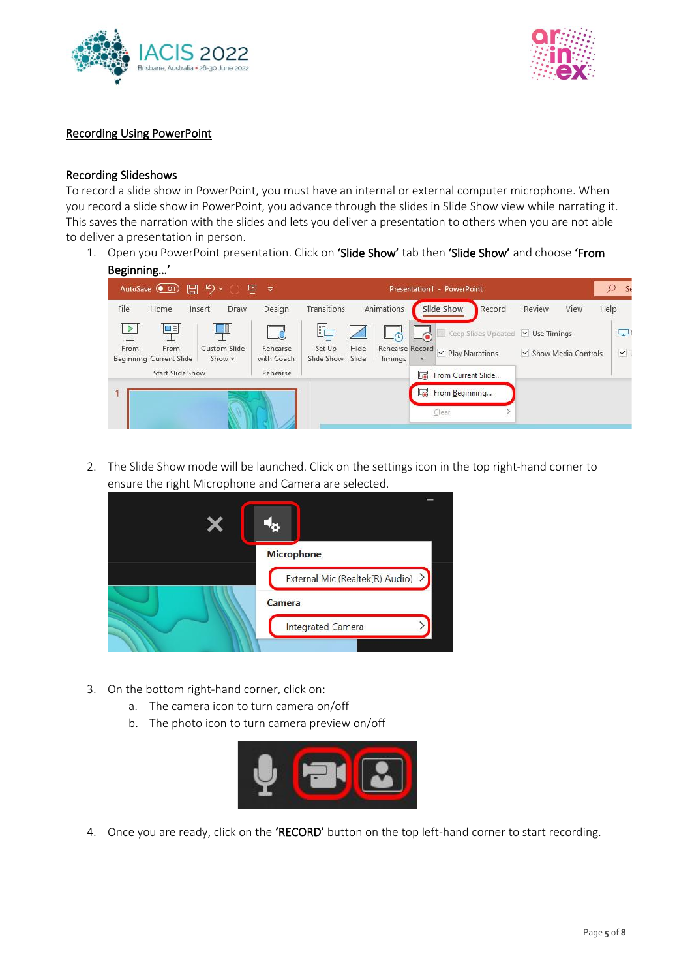



# Recording Using PowerPoint

# Recording Slideshows

To record a slide show in PowerPoint, you must have an internal or external computer microphone. When you record a slide show in PowerPoint, you advance through the slides in Slide Show view while narrating it. This saves the narration with the slides and lets you deliver a presentation to others when you are not able to deliver a presentation in person.

1. Open you PowerPoint presentation. Click on 'Slide Show' tab then 'Slide Show' and choose 'From Beginning…'



2. The Slide Show mode will be launched. Click on the settings icon in the top right-hand corner to ensure the right Microphone and Camera are selected.



- 3. On the bottom right-hand corner, click on:
	- a. The camera icon to turn camera on/off
	- b. The photo icon to turn camera preview on/off



4. Once you are ready, click on the 'RECORD' button on the top left-hand corner to start recording.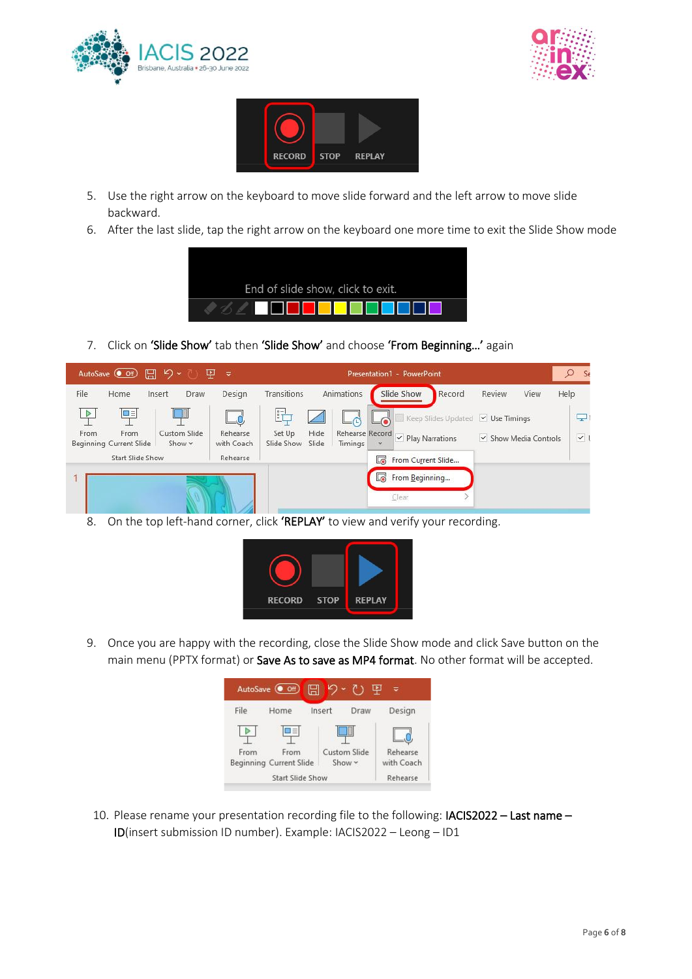





- 5. Use the right arrow on the keyboard to move slide forward and the left arrow to move slide backward.
- 6. After the last slide, tap the right arrow on the keyboard one more time to exit the Slide Show mode



7. Click on 'Slide Show' tab then 'Slide Show' and choose 'From Beginning...' again



8. On the top left-hand corner, click 'REPLAY' to view and verify your recording.



9. Once you are happy with the recording, close the Slide Show mode and click Save button on the main menu (PPTX format) or Save As to save as MP4 format. No other format will be accepted.



10. Please rename your presentation recording file to the following: IACIS2022 – Last name – ID(insert submission ID number). Example: IACIS2022 – Leong – ID1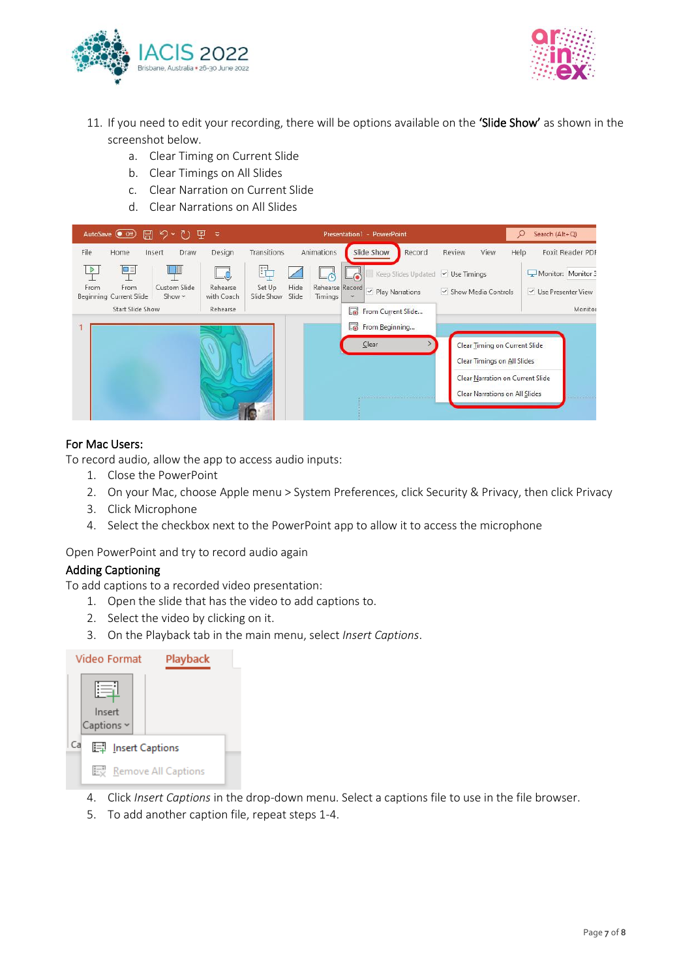



- 11. If you need to edit your recording, there will be options available on the 'Slide Show' as shown in the screenshot below.
	- a. Clear Timing on Current Slide
	- b. Clear Timings on All Slides
	- c. Clear Narration on Current Slide
	- d. Clear Narrations on All Slides



## For Mac Users:

To record audio, allow the app to access audio inputs:

- 1. Close the PowerPoint
- 2. On your Mac, choose Apple menu > System Preferences, click Security & Privacy, then click Privacy
- 3. Click Microphone
- 4. Select the checkbox next to the PowerPoint app to allow it to access the microphone

Open PowerPoint and try to record audio again

# Adding Captioning

To add captions to a recorded video presentation:

- 1. Open the slide that has the video to add captions to.
- 2. Select the video by clicking on it.
- 3. On the Playback tab in the main menu, select *Insert Captions*.



- 4. Click *Insert Captions* in the drop-down menu. Select a captions file to use in the file browser.
- 5. To add another caption file, repeat steps 1-4.